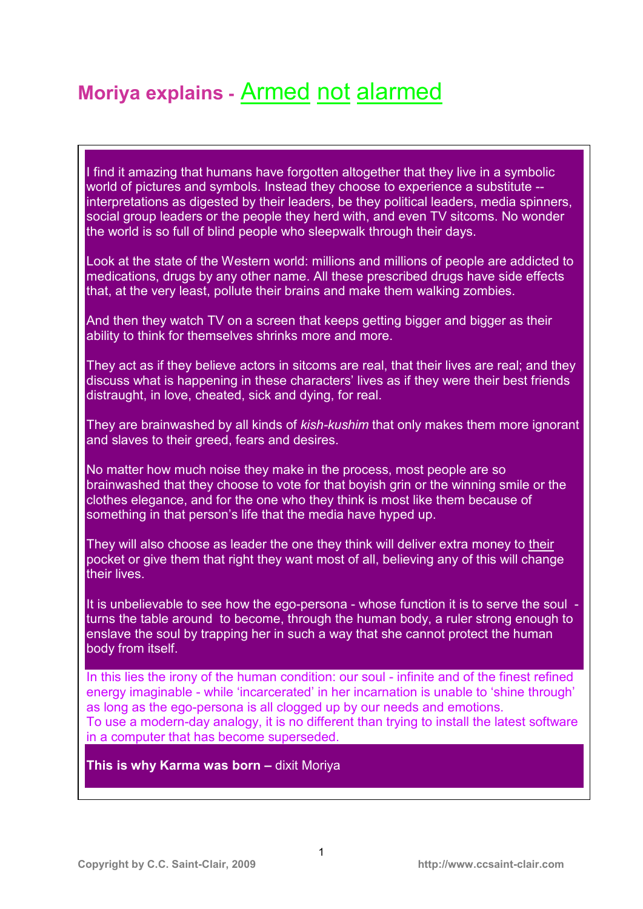# **Moriya explains -** Armed not alarmed

I find it amazing that humans have forgotten altogether that they live in a symbolic world of pictures and symbols. Instead they choose to experience a substitute -interpretations as digested by their leaders, be they political leaders, media spinners, social group leaders or the people they herd with, and even TV sitcoms. No wonder the world is so full of blind people who sleepwalk through their days.

Look at the state of the Western world: millions and millions of people are addicted to medications, drugs by any other name. All these prescribed drugs have side effects that, at the very least, pollute their brains and make them walking zombies.

And then they watch TV on a screen that keeps getting bigger and bigger as their ability to think for themselves shrinks more and more.

They act as if they believe actors in sitcoms are real, that their lives are real; and they discuss what is happening in these characters' lives as if they were their best friends distraught, in love, cheated, sick and dying, for real.

They are brainwashed by all kinds of *kish-kushim* that only makes them more ignorant and slaves to their greed, fears and desires.

No matter how much noise they make in the process, most people are so brainwashed that they choose to vote for that boyish grin or the winning smile or the clothes elegance, and for the one who they think is most like them because of something in that person's life that the media have hyped up.

They will also choose as leader the one they think will deliver extra money to their pocket or give them that right they want most of all, believing any of this will change their lives.

It is unbelievable to see how the ego-persona - whose function it is to serve the soul turns the table around to become, through the human body, a ruler strong enough to enslave the soul by trapping her in such a way that she cannot protect the human body from itself.

In this lies the irony of the human condition: our soul - infinite and of the finest refined energy imaginable - while 'incarcerated' in her incarnation is unable to 'shine through' as long as the ego-persona is all clogged up by our needs and emotions. To use a modern-day analogy, it is no different than trying to install the latest software in a computer that has become superseded.

**This is why Karma was born –** dixit Moriya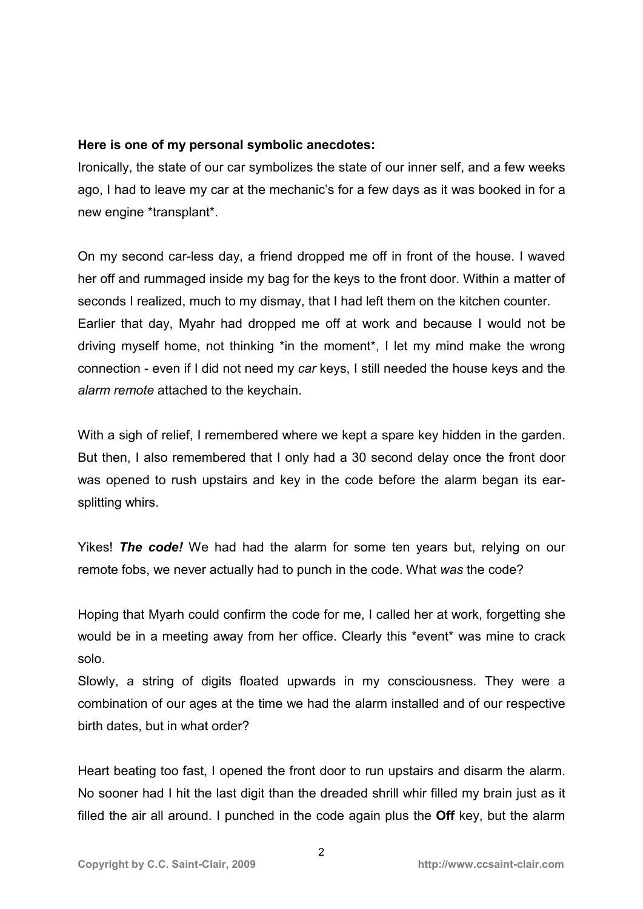### **Here is one of my personal symbolic anecdotes:**

Ironically, the state of our car symbolizes the state of our inner self, and a few weeks ago, I had to leave my car at the mechanic's for a few days as it was booked in for a new engine \*transplant\*.

On my second car-less day, a friend dropped me off in front of the house. I waved her off and rummaged inside my bag for the keys to the front door. Within a matter of seconds I realized, much to my dismay, that I had left them on the kitchen counter. Earlier that day, Myahr had dropped me off at work and because I would not be driving myself home, not thinking \*in the moment\*, I let my mind make the wrong connection - even if I did not need my *car* keys, I still needed the house keys and the *alarm remote* attached to the keychain.

With a sigh of relief, I remembered where we kept a spare key hidden in the garden. But then, I also remembered that I only had a 30 second delay once the front door was opened to rush upstairs and key in the code before the alarm began its earsplitting whirs.

Yikes! *The code!* We had had the alarm for some ten years but, relying on our remote fobs, we never actually had to punch in the code. What *was* the code?

Hoping that Myarh could confirm the code for me, I called her at work, forgetting she would be in a meeting away from her office. Clearly this \*event\* was mine to crack solo.

Slowly, a string of digits floated upwards in my consciousness. They were a combination of our ages at the time we had the alarm installed and of our respective birth dates, but in what order?

Heart beating too fast, I opened the front door to run upstairs and disarm the alarm. No sooner had I hit the last digit than the dreaded shrill whir filled my brain just as it filled the air all around. I punched in the code again plus the **Off** key, but the alarm

2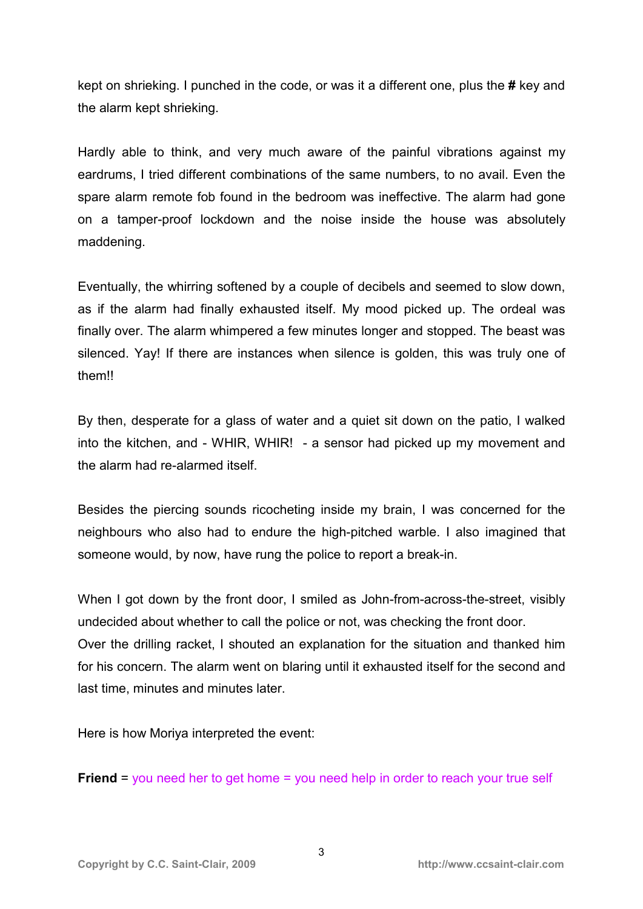kept on shrieking. I punched in the code, or was it a different one, plus the **#** key and the alarm kept shrieking.

Hardly able to think, and very much aware of the painful vibrations against my eardrums, I tried different combinations of the same numbers, to no avail. Even the spare alarm remote fob found in the bedroom was ineffective. The alarm had gone on a tamper-proof lockdown and the noise inside the house was absolutely maddening.

Eventually, the whirring softened by a couple of decibels and seemed to slow down, as if the alarm had finally exhausted itself. My mood picked up. The ordeal was finally over. The alarm whimpered a few minutes longer and stopped. The beast was silenced. Yay! If there are instances when silence is golden, this was truly one of them!!

By then, desperate for a glass of water and a quiet sit down on the patio, I walked into the kitchen, and - WHIR, WHIR! - a sensor had picked up my movement and the alarm had re-alarmed itself.

Besides the piercing sounds ricocheting inside my brain, I was concerned for the neighbours who also had to endure the high-pitched warble. I also imagined that someone would, by now, have rung the police to report a break-in.

When I got down by the front door, I smiled as John-from-across-the-street, visibly undecided about whether to call the police or not, was checking the front door. Over the drilling racket, I shouted an explanation for the situation and thanked him for his concern. The alarm went on blaring until it exhausted itself for the second and last time, minutes and minutes later.

Here is how Moriya interpreted the event:

**Friend** = you need her to get home = you need help in order to reach your true self

3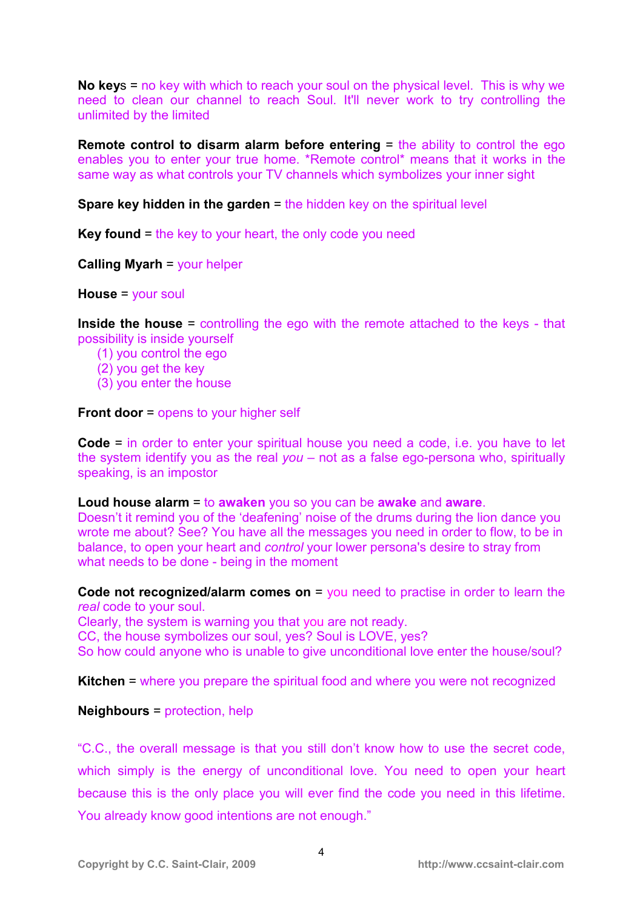**No key**s = no key with which to reach your soul on the physical level. This is why we need to clean our channel to reach Soul. It'll never work to try controlling the unlimited by the limited

**Remote control to disarm alarm before entering** = the ability to control the ego enables you to enter your true home. \*Remote control\* means that it works in the same way as what controls your TV channels which symbolizes your inner sight

**Spare key hidden in the garden** = the hidden key on the spiritual level

**Key found** = the key to your heart, the only code you need

**Calling Myarh** = your helper

**House** = your soul

**Inside the house** = controlling the ego with the remote attached to the keys - that possibility is inside yourself

- (1) you control the ego
- (2) you get the key
- (3) you enter the house

**Front door** = opens to your higher self

**Code** = in order to enter your spiritual house you need a code, i.e. you have to let the system identify you as the real *you* – not as a false ego-persona who, spiritually speaking, is an impostor

**Loud house alarm** = to **awaken** you so you can be **awake** and **aware**.

Doesn't it remind you of the 'deafening' noise of the drums during the lion dance you wrote me about? See? You have all the messages you need in order to flow, to be in balance, to open your heart and *control* your lower persona's desire to stray from what needs to be done - being in the moment

**Code not recognized/alarm comes on** = you need to practise in order to learn the *real* code to your soul.

Clearly, the system is warning you that you are not ready.

CC, the house symbolizes our soul, yes? Soul is LOVE, yes?

So how could anyone who is unable to give unconditional love enter the house/soul?

**Kitchen** = where you prepare the spiritual food and where you were not recognized

**Neighbours** = protection, help

"C.C., the overall message is that you still don't know how to use the secret code, which simply is the energy of unconditional love. You need to open your heart because this is the only place you will ever find the code you need in this lifetime. You already know good intentions are not enough."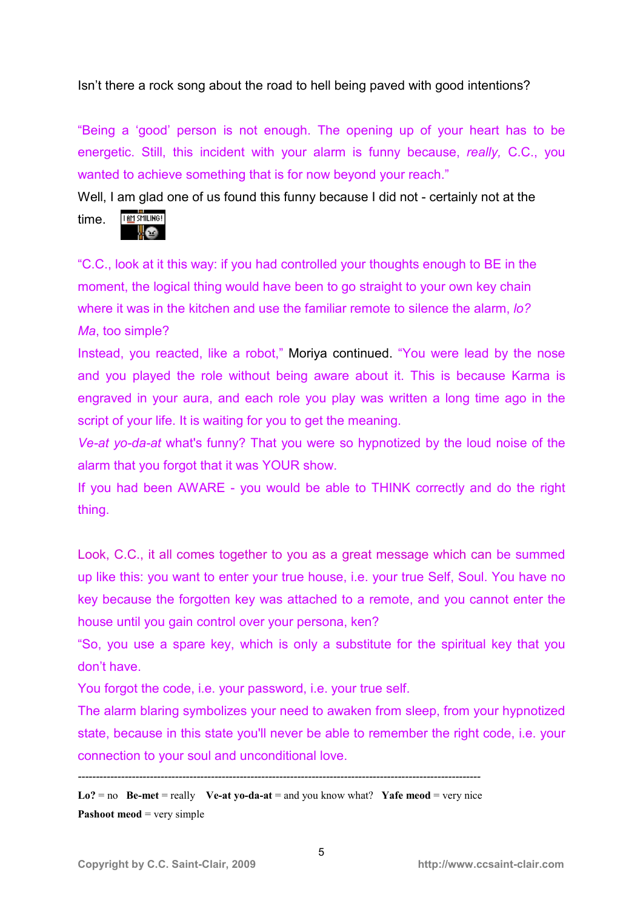Isn't there a rock song about the road to hell being paved with good intentions?

"Being a 'good' person is not enough. The opening up of your heart has to be energetic. Still, this incident with your alarm is funny because, *really,* C.C., you wanted to achieve something that is for now beyond your reach."

Well, I am glad one of us found this funny because I did not - certainly not at the **THM SMILING!** time.

"C.C., look at it this way: if you had controlled your thoughts enough to BE in the moment, the logical thing would have been to go straight to your own key chain where it was in the kitchen and use the familiar remote to silence the alarm, *lo? Ma*, too simple?

Instead, you reacted, like a robot," Moriya continued. "You were lead by the nose and you played the role without being aware about it. This is because Karma is engraved in your aura, and each role you play was written a long time ago in the script of your life. It is waiting for you to get the meaning.

*Ve-at yo-da-at* what's funny? That you were so hypnotized by the loud noise of the alarm that you forgot that it was YOUR show.

If you had been AWARE - you would be able to THINK correctly and do the right thing.

Look, C.C., it all comes together to you as a great message which can be summed up like this: you want to enter your true house, i.e. your true Self, Soul. You have no key because the forgotten key was attached to a remote, and you cannot enter the house until you gain control over your persona, ken?

"So, you use a spare key, which is only a substitute for the spiritual key that you don't have.

You forgot the code, i.e. your password, i.e. your true self.

The alarm blaring symbolizes your need to awaken from sleep, from your hypnotized state, because in this state you'll never be able to remember the right code, i.e. your connection to your soul and unconditional love.

*----------------------------------------------------------------------------------------------------------------* 

**Lo?** = no **Be-met** = really **Ve-at yo-da-at** = and you know what?**Yafe meod** = very nice **Pashoot meod** = very simple

<u>ve</u>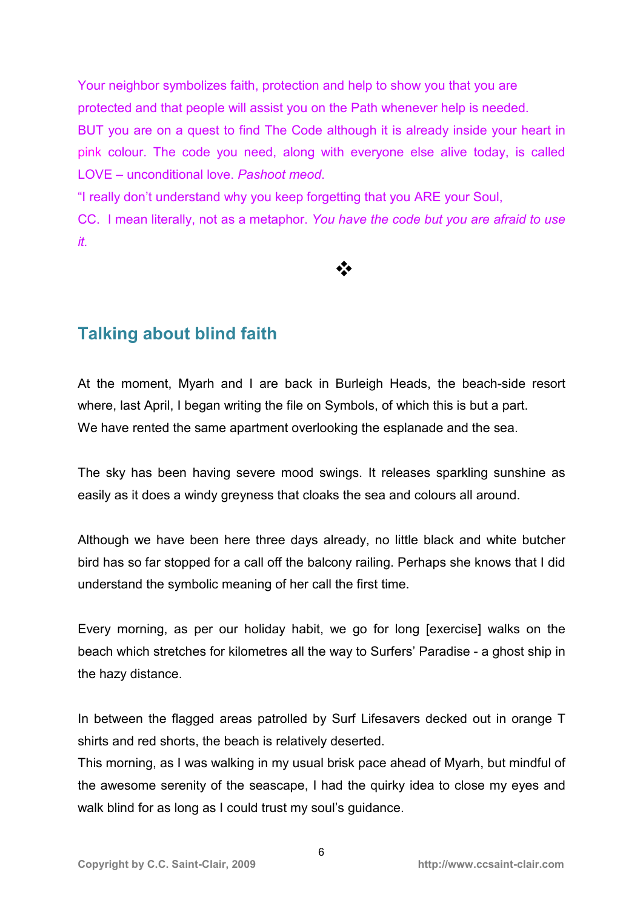Your neighbor symbolizes faith, protection and help to show you that you are protected and that people will assist you on the Path whenever help is needed. BUT you are on a quest to find The Code although it is already inside your heart in pink colour. The code you need, along with everyone else alive today, is called LOVE – unconditional love. *Pashoot meod*.

"I really don't understand why you keep forgetting that you ARE your Soul, CC. I mean literally, not as a metaphor. *You have the code but you are afraid to use it.* 

 $\frac{1}{2}$ 

**Talking about blind faith** 

At the moment, Myarh and I are back in Burleigh Heads, the beach-side resort where, last April, I began writing the file on Symbols, of which this is but a part. We have rented the same apartment overlooking the esplanade and the sea.

The sky has been having severe mood swings. It releases sparkling sunshine as easily as it does a windy greyness that cloaks the sea and colours all around.

Although we have been here three days already, no little black and white butcher bird has so far stopped for a call off the balcony railing. Perhaps she knows that I did understand the symbolic meaning of her call the first time.

Every morning, as per our holiday habit, we go for long [exercise] walks on the beach which stretches for kilometres all the way to Surfers' Paradise - a ghost ship in the hazy distance.

In between the flagged areas patrolled by Surf Lifesavers decked out in orange T shirts and red shorts, the beach is relatively deserted.

This morning, as I was walking in my usual brisk pace ahead of Myarh, but mindful of the awesome serenity of the seascape, I had the quirky idea to close my eyes and walk blind for as long as I could trust my soul's guidance.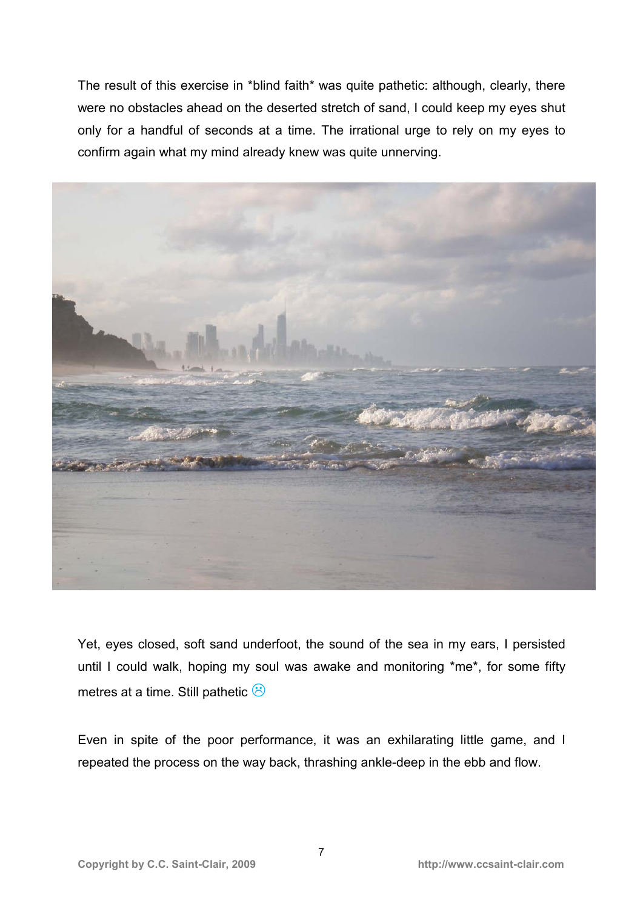The result of this exercise in \*blind faith\* was quite pathetic: although, clearly, there were no obstacles ahead on the deserted stretch of sand, I could keep my eyes shut only for a handful of seconds at a time. The irrational urge to rely on my eyes to confirm again what my mind already knew was quite unnerving.



Yet, eyes closed, soft sand underfoot, the sound of the sea in my ears, I persisted until I could walk, hoping my soul was awake and monitoring \*me\*, for some fifty metres at a time. Still pathetic  $\hat{\odot}$ 

Even in spite of the poor performance, it was an exhilarating little game, and I repeated the process on the way back, thrashing ankle-deep in the ebb and flow.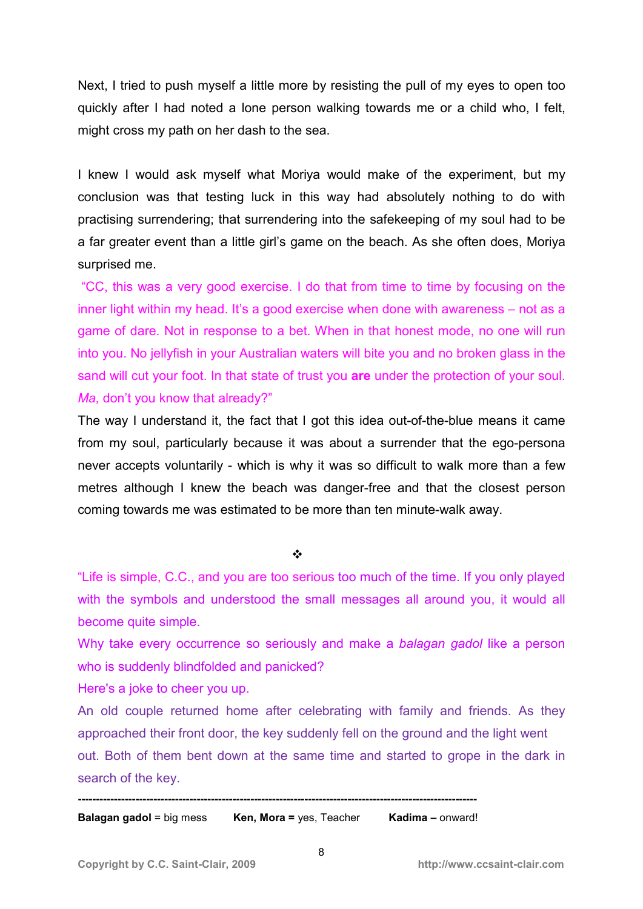Next, I tried to push myself a little more by resisting the pull of my eyes to open too quickly after I had noted a lone person walking towards me or a child who, I felt, might cross my path on her dash to the sea.

I knew I would ask myself what Moriya would make of the experiment, but my conclusion was that testing luck in this way had absolutely nothing to do with practising surrendering; that surrendering into the safekeeping of my soul had to be a far greater event than a little girl's game on the beach. As she often does, Moriya surprised me.

 "CC, this was a very good exercise. I do that from time to time by focusing on the inner light within my head. It's a good exercise when done with awareness – not as a game of dare. Not in response to a bet. When in that honest mode, no one will run into you. No jellyfish in your Australian waters will bite you and no broken glass in the sand will cut your foot. In that state of trust you **are** under the protection of your soul. *Ma, don't you know that already?"* 

The way I understand it, the fact that I got this idea out-of-the-blue means it came from my soul, particularly because it was about a surrender that the ego-persona never accepts voluntarily - which is why it was so difficult to walk more than a few metres although I knew the beach was danger-free and that the closest person coming towards me was estimated to be more than ten minute-walk away.

❖

"Life is simple, C.C., and you are too serious too much of the time. If you only played with the symbols and understood the small messages all around you, it would all become quite simple.

Why take every occurrence so seriously and make a *balagan gadol* like a person who is suddenly blindfolded and panicked?

Here's a joke to cheer you up.

An old couple returned home after celebrating with family and friends. As they approached their front door, the key suddenly fell on the ground and the light went out. Both of them bent down at the same time and started to grope in the dark in search of the key.

**--------------------------------------------------------------------------------------------------------------- Balagan gadol** = big mess **Ken, Mora =** yes, Teacher **Kadima –** onward!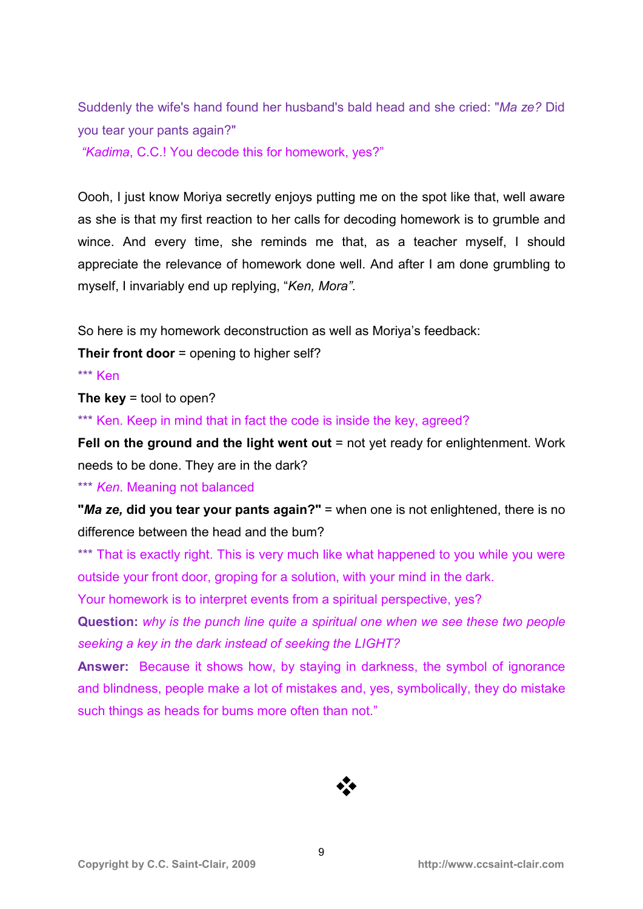Suddenly the wife's hand found her husband's bald head and she cried: "*Ma ze?* Did you tear your pants again?"

 *"Kadima*, C.C.! You decode this for homework, yes?"

Oooh, I just know Moriya secretly enjoys putting me on the spot like that, well aware as she is that my first reaction to her calls for decoding homework is to grumble and wince. And every time, she reminds me that, as a teacher myself, I should appreciate the relevance of homework done well. And after I am done grumbling to myself, I invariably end up replying, "*Ken, Mora"*.

So here is my homework deconstruction as well as Moriya's feedback:

**Their front door** = opening to higher self?

\*\*\* Ken

**The key** = tool to open?

\*\*\* Ken. Keep in mind that in fact the code is inside the key, agreed?

**Fell on the ground and the light went out = not yet ready for enlightenment. Work** needs to be done. They are in the dark?

\*\*\* *Ken*. Meaning not balanced

**"***Ma ze,* **did you tear your pants again?"** = when one is not enlightened, there is no difference between the head and the bum?

\*\*\* That is exactly right. This is very much like what happened to you while you were outside your front door, groping for a solution, with your mind in the dark.

Your homework is to interpret events from a spiritual perspective, yes?

**Question:** *why is the punch line quite a spiritual one when we see these two people seeking a key in the dark instead of seeking the LIGHT?*

**Answer:** Because it shows how, by staying in darkness, the symbol of ignorance and blindness, people make a lot of mistakes and, yes, symbolically, they do mistake such things as heads for bums more often than not."

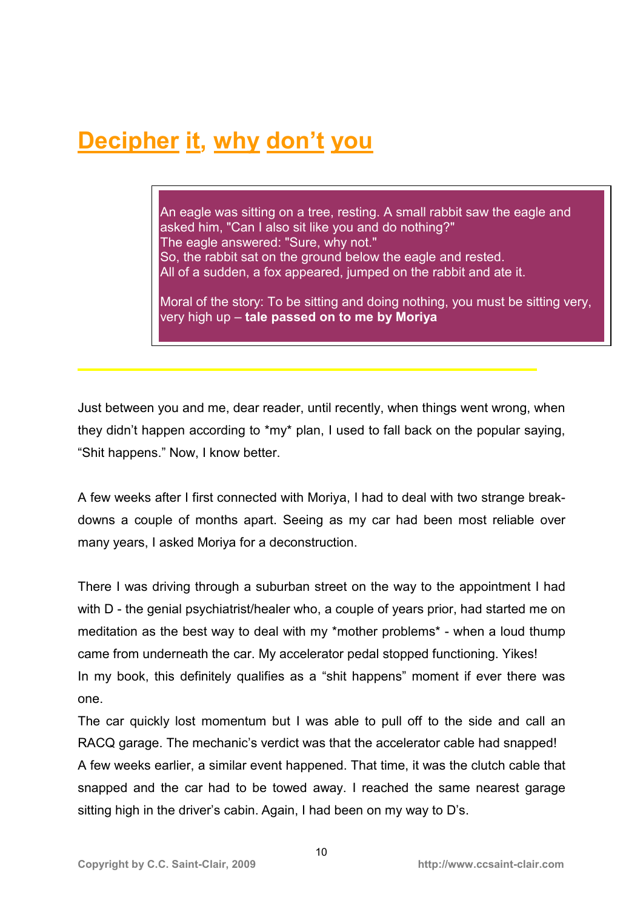# **Decipher it, why don't you**

An eagle was sitting on a tree, resting. A small rabbit saw the eagle and asked him, "Can I also sit like you and do nothing?" The eagle answered: "Sure, why not." So, the rabbit sat on the ground below the eagle and rested. All of a sudden, a fox appeared, jumped on the rabbit and ate it.

Moral of the story: To be sitting and doing nothing, you must be sitting very, very high up – **tale passed on to me by Moriya** 

Just between you and me, dear reader, until recently, when things went wrong, when they didn't happen according to \*my\* plan, I used to fall back on the popular saying, "Shit happens." Now, I know better.

A few weeks after I first connected with Moriya, I had to deal with two strange breakdowns a couple of months apart. Seeing as my car had been most reliable over many years, I asked Moriya for a deconstruction.

There I was driving through a suburban street on the way to the appointment I had with D - the genial psychiatrist/healer who, a couple of years prior, had started me on meditation as the best way to deal with my \*mother problems\* - when a loud thump came from underneath the car. My accelerator pedal stopped functioning. Yikes! In my book, this definitely qualifies as a "shit happens" moment if ever there was one.

The car quickly lost momentum but I was able to pull off to the side and call an RACQ garage. The mechanic's verdict was that the accelerator cable had snapped! A few weeks earlier, a similar event happened. That time, it was the clutch cable that snapped and the car had to be towed away. I reached the same nearest garage sitting high in the driver's cabin. Again, I had been on my way to D's.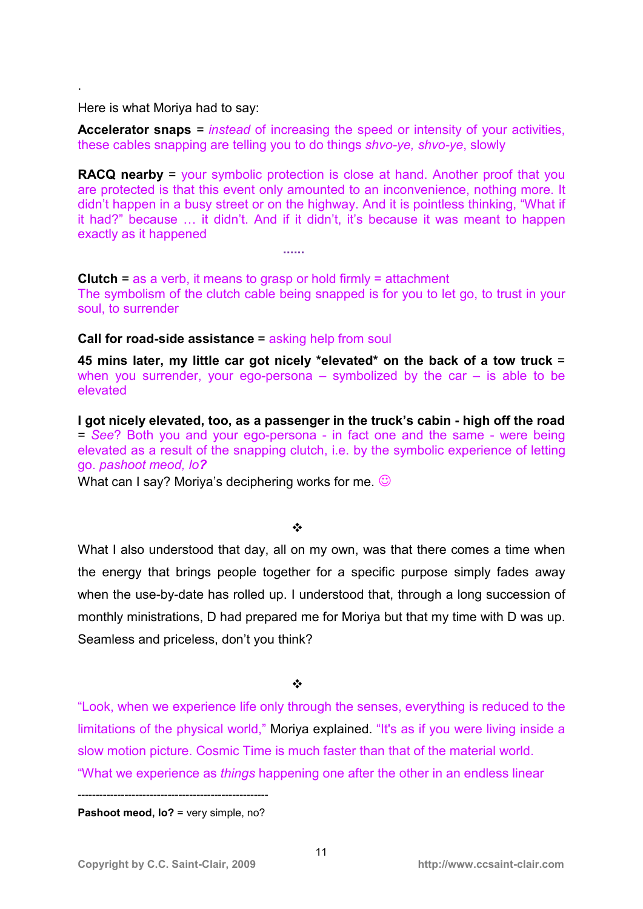Here is what Moriya had to say:

**......** 

.

**Accelerator snaps** *= instead* of increasing the speed or intensity of your activities, these cables snapping are telling you to do things *shvo-ye, shvo-ye*, slowly

**RACQ nearby** = your symbolic protection is close at hand. Another proof that you are protected is that this event only amounted to an inconvenience, nothing more. It didn't happen in a busy street or on the highway. And it is pointless thinking, "What if it had?" because ... it didn't. And if it didn't, it's because it was meant to happen exactly as it happened

**Clutch** = as a verb, it means to grasp or hold firmly = attachment The symbolism of the clutch cable being snapped is for you to let go, to trust in your soul, to surrender

#### **Call for road-side assistance** = asking help from soul

**45 mins later, my little car got nicely \*elevated\* on the back of a tow truck** = when you surrender, your ego-persona  $-$  symbolized by the car  $-$  is able to be elevated

**I got nicely elevated, too, as a passenger in the truck's cabin - high off the road**  = *See*? Both you and your ego-persona - in fact one and the same - were being elevated as a result of the snapping clutch, i.e. by the symbolic experience of letting go. *pashoot meod, lo?*

What can I say? Moriva's deciphering works for me.  $\odot$ 

#### $\frac{1}{2}$

What I also understood that day, all on my own, was that there comes a time when the energy that brings people together for a specific purpose simply fades away when the use-by-date has rolled up. I understood that, through a long succession of monthly ministrations, D had prepared me for Moriya but that my time with D was up. Seamless and priceless, don't you think?

#### $\cdot$

"Look, when we experience life only through the senses, everything is reduced to the limitations of the physical world," Moriya explained. "It's as if you were living inside a slow motion picture. Cosmic Time is much faster than that of the material world. "What we experience as *things* happening one after the other in an endless linear

----------------------------------------------------- **Pashoot meod, lo?** = very simple, no?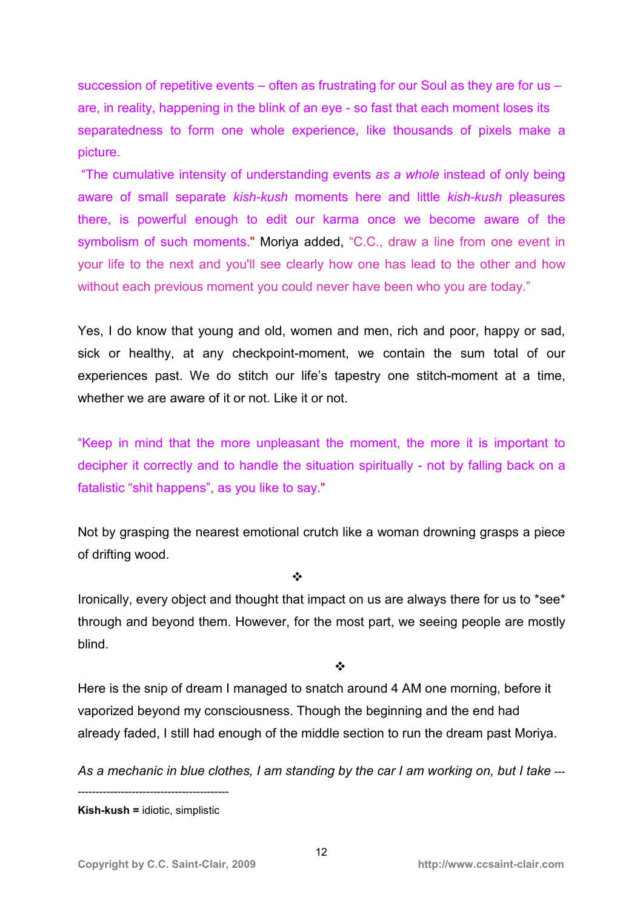succession of repetitive events – often as frustrating for our Soul as they are for us – are, in reality, happening in the blink of an eye - so fast that each moment loses its separatedness to form one whole experience, like thousands of pixels make a picture.

 "The cumulative intensity of understanding events *as a whole* instead of only being aware of small separate *kish-kush* moments here and little *kish-kush* pleasures there, is powerful enough to edit our karma once we become aware of the symbolism of such moments." Moriya added, "C.C., draw a line from one event in your life to the next and you'll see clearly how one has lead to the other and how without each previous moment you could never have been who you are today."

Yes, I do know that young and old, women and men, rich and poor, happy or sad, sick or healthy, at any checkpoint-moment, we contain the sum total of our experiences past. We do stitch our life's tapestry one stitch-moment at a time, whether we are aware of it or not. Like it or not.

"Keep in mind that the more unpleasant the moment, the more it is important to decipher it correctly and to handle the situation spiritually - not by falling back on a fatalistic "shit happens", as you like to say."

Not by grasping the nearest emotional crutch like a woman drowning grasps a piece of drifting wood.

 $\ddot{\bullet}$ 

Ironically, every object and thought that impact on us are always there for us to \*see\* through and beyond them. However, for the most part, we seeing people are mostly blind.

 $\frac{1}{2}$ 

Here is the snip of dream I managed to snatch around 4 AM one morning, before it vaporized beyond my consciousness. Though the beginning and the end had already faded, I still had enough of the middle section to run the dream past Moriya.

As a mechanic in blue clothes, I am standing by the car I am working on, but I take ---

------------------------------------------ **Kish-kush =** idiotic, simplistic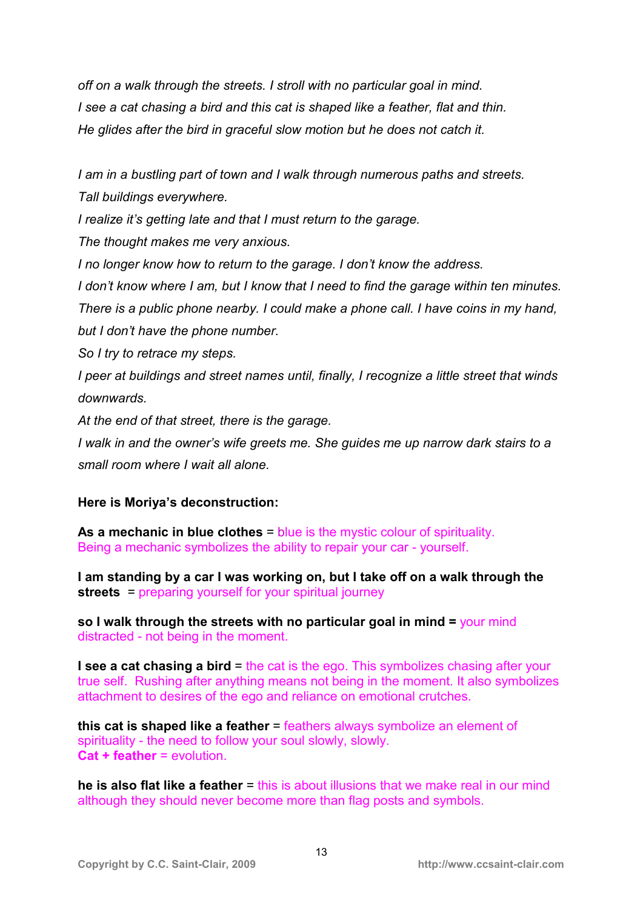*off on a walk through the streets. I stroll with no particular goal in mind. I see a cat chasing a bird and this cat is shaped like a feather, flat and thin. He glides after the bird in graceful slow motion but he does not catch it.* 

*I am in a bustling part of town and I walk through numerous paths and streets. Tall buildings everywhere.* 

*I realize it's getting late and that I must return to the garage.* 

*The thought makes me very anxious.* 

*I no longer know how to return to the garage. I don't know the address.* 

*I don't know where I am, but I know that I need to find the garage within ten minutes. There is a public phone nearby. I could make a phone call. I have coins in my hand, but I don't have the phone number.* 

*So I try to retrace my steps.* 

*I peer at buildings and street names until, finally, I recognize a little street that winds downwards.* 

*At the end of that street, there is the garage.* 

*I walk in and the owner's wife greets me. She guides me up narrow dark stairs to a small room where I wait all alone.*

### **Here is Moriya's deconstruction:**

**As a mechanic in blue clothes** = blue is the mystic colour of spirituality. Being a mechanic symbolizes the ability to repair your car - yourself.

**I am standing by a car I was working on, but I take off on a walk through the streets** = preparing yourself for your spiritual journey

**so I walk through the streets with no particular goal in mind =** your mind distracted - not being in the moment.

**I see a cat chasing a bird = the cat is the ego. This symbolizes chasing after your** true self. Rushing after anything means not being in the moment. It also symbolizes attachment to desires of the ego and reliance on emotional crutches.

**this cat is shaped like a feather = feathers always symbolize an element of** spirituality - the need to follow your soul slowly, slowly. **Cat + feather** = evolution.

**he is also flat like a feather** = this is about illusions that we make real in our mind although they should never become more than flag posts and symbols.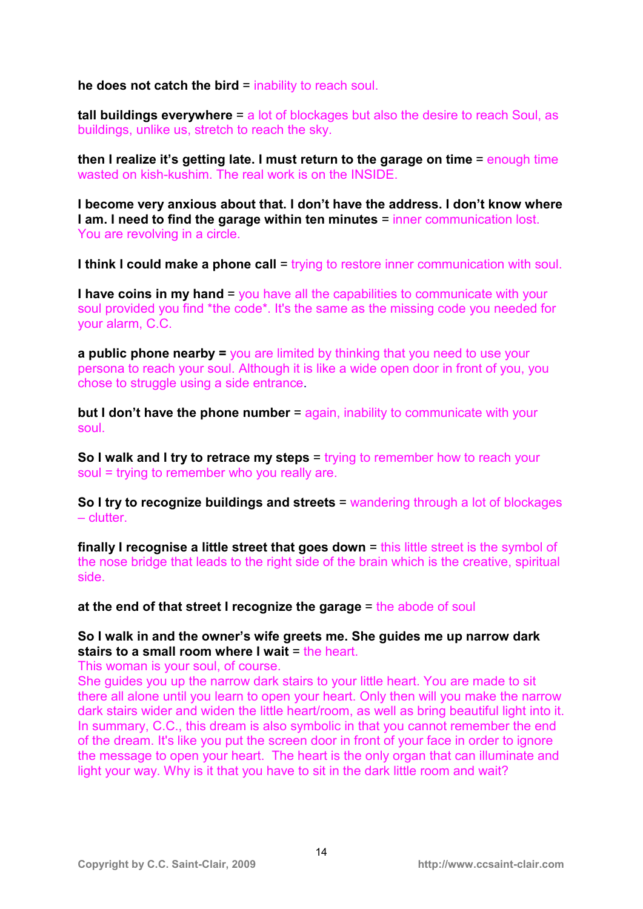**he does not catch the bird** = inability to reach soul.

**tall buildings everywhere** = a lot of blockages but also the desire to reach Soul, as buildings, unlike us, stretch to reach the sky.

**then I realize it's getting late. I must return to the garage on time** = enough time wasted on kish-kushim. The real work is on the INSIDE.

**I become very anxious about that. I don't have the address. I don't know where I am. I need to find the garage within ten minutes** = inner communication lost. You are revolving in a circle.

**I think I could make a phone call = trying to restore inner communication with soul.** 

**I have coins in my hand** = you have all the capabilities to communicate with your soul provided you find \*the code\*. It's the same as the missing code you needed for your alarm, C.C.

**a public phone nearby =** you are limited by thinking that you need to use your persona to reach your soul. Although it is like a wide open door in front of you, you chose to struggle using a side entrance.

**but I don't have the phone number** = again, inability to communicate with your soul.

**So I walk and I try to retrace my steps** = trying to remember how to reach your soul = trying to remember who you really are.

**So I try to recognize buildings and streets** = wandering through a lot of blockages – clutter.

**finally I recognise a little street that goes down = this little street is the symbol of** the nose bridge that leads to the right side of the brain which is the creative, spiritual side.

**at the end of that street I recognize the garage = the abode of soul** 

**So I walk in and the owner's wife greets me. She guides me up narrow dark stairs to a small room where I wait** = the heart.

This woman is your soul, of course.

She guides you up the narrow dark stairs to your little heart. You are made to sit there all alone until you learn to open your heart. Only then will you make the narrow dark stairs wider and widen the little heart/room, as well as bring beautiful light into it. In summary, C.C., this dream is also symbolic in that you cannot remember the end of the dream. It's like you put the screen door in front of your face in order to ignore the message to open your heart. The heart is the only organ that can illuminate and light your way. Why is it that you have to sit in the dark little room and wait?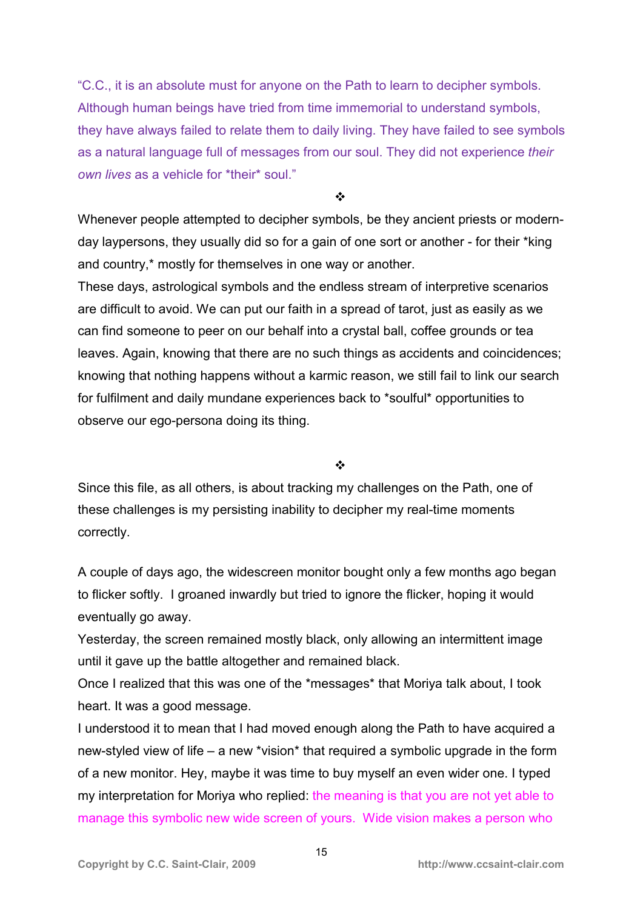"C.C., it is an absolute must for anyone on the Path to learn to decipher symbols. Although human beings have tried from time immemorial to understand symbols, they have always failed to relate them to daily living. They have failed to see symbols as a natural language full of messages from our soul. They did not experience *their own lives* as a vehicle for \*their\* soul."

 $\frac{1}{2}$ 

Whenever people attempted to decipher symbols, be they ancient priests or modernday laypersons, they usually did so for a gain of one sort or another - for their \*king and country,\* mostly for themselves in one way or another.

These days, astrological symbols and the endless stream of interpretive scenarios are difficult to avoid. We can put our faith in a spread of tarot, just as easily as we can find someone to peer on our behalf into a crystal ball, coffee grounds or tea leaves. Again, knowing that there are no such things as accidents and coincidences; knowing that nothing happens without a karmic reason, we still fail to link our search for fulfilment and daily mundane experiences back to \*soulful\* opportunities to observe our ego-persona doing its thing.

#### $\frac{1}{2}$

Since this file, as all others, is about tracking my challenges on the Path, one of these challenges is my persisting inability to decipher my real-time moments correctly.

A couple of days ago, the widescreen monitor bought only a few months ago began to flicker softly. I groaned inwardly but tried to ignore the flicker, hoping it would eventually go away.

Yesterday, the screen remained mostly black, only allowing an intermittent image until it gave up the battle altogether and remained black.

Once I realized that this was one of the \*messages\* that Moriya talk about, I took heart. It was a good message.

I understood it to mean that I had moved enough along the Path to have acquired a new-styled view of life – a new \*vision\* that required a symbolic upgrade in the form of a new monitor. Hey, maybe it was time to buy myself an even wider one. I typed my interpretation for Moriya who replied: the meaning is that you are not yet able to manage this symbolic new wide screen of yours. Wide vision makes a person who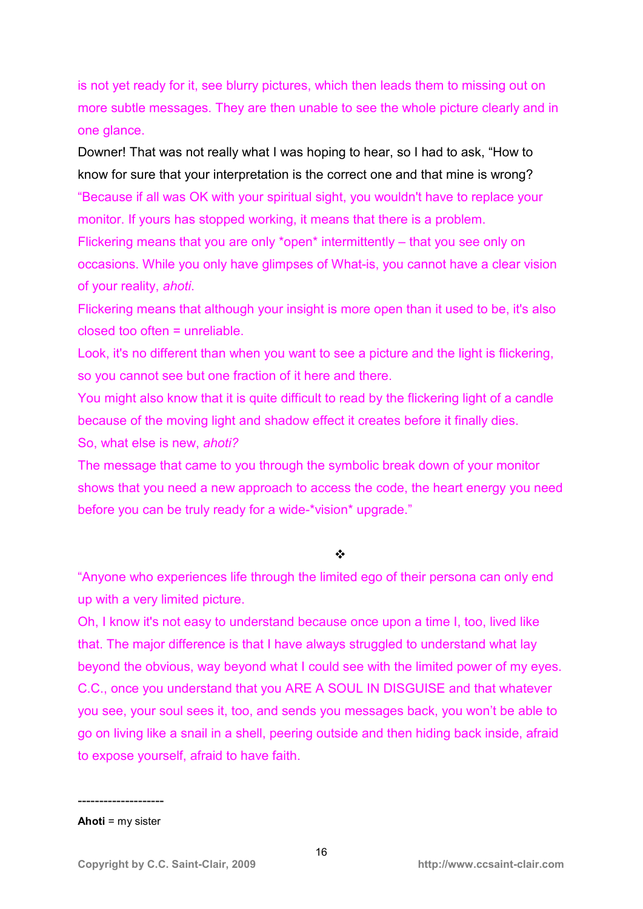is not yet ready for it, see blurry pictures, which then leads them to missing out on more subtle messages. They are then unable to see the whole picture clearly and in one glance.

Downer! That was not really what I was hoping to hear, so I had to ask, "How to know for sure that your interpretation is the correct one and that mine is wrong? "Because if all was OK with your spiritual sight, you wouldn't have to replace your monitor. If yours has stopped working, it means that there is a problem.

Flickering means that you are only \*open\* intermittently – that you see only on occasions. While you only have glimpses of What-is, you cannot have a clear vision of your reality, *ahoti*.

Flickering means that although your insight is more open than it used to be, it's also closed too often = unreliable.

Look, it's no different than when you want to see a picture and the light is flickering, so you cannot see but one fraction of it here and there.

You might also know that it is quite difficult to read by the flickering light of a candle because of the moving light and shadow effect it creates before it finally dies.

So, what else is new, *ahoti?*

The message that came to you through the symbolic break down of your monitor shows that you need a new approach to access the code, the heart energy you need before you can be truly ready for a wide-\*vision\* upgrade."

 $\frac{1}{2}$ 

"Anyone who experiences life through the limited ego of their persona can only end up with a very limited picture.

Oh, I know it's not easy to understand because once upon a time I, too, lived like that. The major difference is that I have always struggled to understand what lay beyond the obvious, way beyond what I could see with the limited power of my eyes. C.C., once you understand that you ARE A SOUL IN DISGUISE and that whatever you see, your soul sees it, too, and sends you messages back, you won't be able to go on living like a snail in a shell, peering outside and then hiding back inside, afraid to expose yourself, afraid to have faith.

-------------------- **Ahoti** = my sister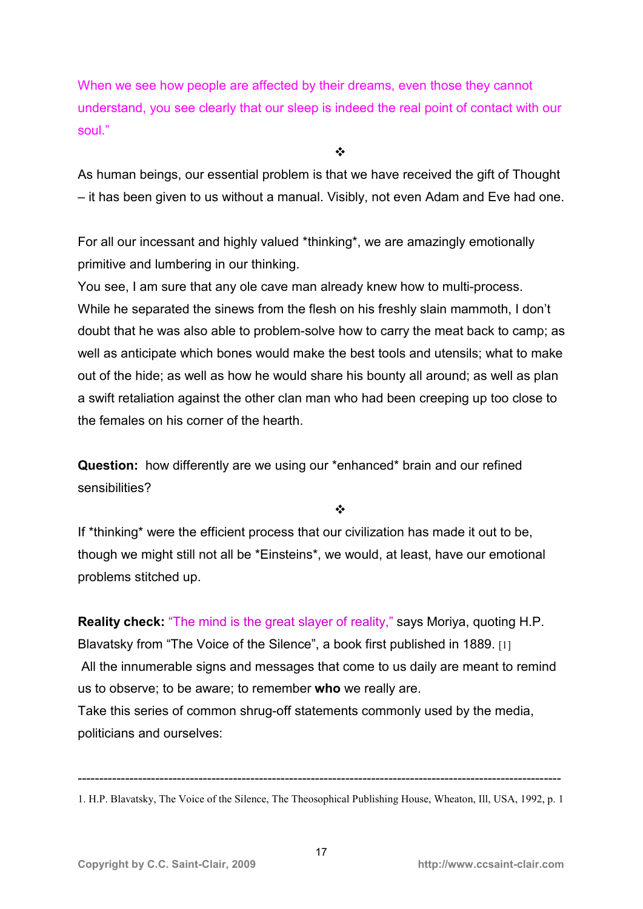When we see how people are affected by their dreams, even those they cannot understand, you see clearly that our sleep is indeed the real point of contact with our soul."

 $\frac{1}{2}$ 

As human beings, our essential problem is that we have received the gift of Thought – it has been given to us without a manual. Visibly, not even Adam and Eve had one.

For all our incessant and highly valued \*thinking\*, we are amazingly emotionally primitive and lumbering in our thinking.

You see, I am sure that any ole cave man already knew how to multi-process. While he separated the sinews from the flesh on his freshly slain mammoth, I don't doubt that he was also able to problem-solve how to carry the meat back to camp; as well as anticipate which bones would make the best tools and utensils; what to make out of the hide; as well as how he would share his bounty all around; as well as plan a swift retaliation against the other clan man who had been creeping up too close to the females on his corner of the hearth.

**Question:** how differently are we using our \*enhanced\* brain and our refined sensibilities?

 $\bullet^{\bullet}_{\mathbf{A}^{\bullet}}$ 

If \*thinking\* were the efficient process that our civilization has made it out to be, though we might still not all be \*Einsteins\*, we would, at least, have our emotional problems stitched up.

**Reality check:** "The mind is the great slayer of reality," says Moriya, quoting H.P. Blavatsky from "The Voice of the Silence", a book first published in 1889. [1] All the innumerable signs and messages that come to us daily are meant to remind us to observe; to be aware; to remember **who** we really are. Take this series of common shrug-off statements commonly used by the media, politicians and ourselves:

<sup>----------------------------------------------------------------------------------------------------------------</sup>  1. H.P. Blavatsky, The Voice of the Silence, The Theosophical Publishing House, Wheaton, Ill, USA, 1992, p. 1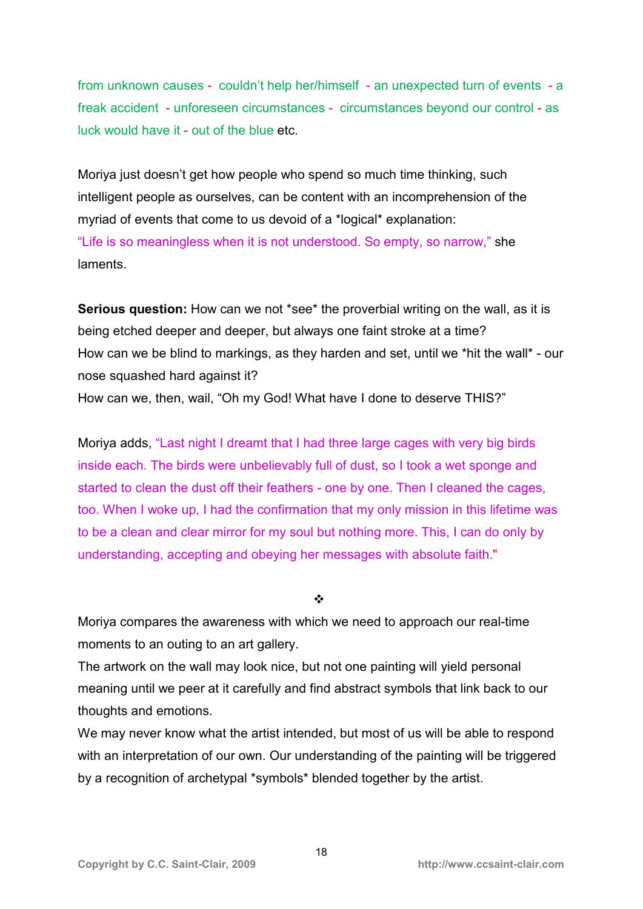from unknown causes - couldn't help her/himself - an unexpected turn of events - a freak accident - unforeseen circumstances - circumstances beyond our control - as luck would have it - out of the blue etc.

Moriya just doesn't get how people who spend so much time thinking, such intelligent people as ourselves, can be content with an incomprehension of the myriad of events that come to us devoid of a \*logical\* explanation: "Life is so meaningless when it is not understood. So empty, so narrow," she laments.

**Serious question:** How can we not \*see\* the proverbial writing on the wall, as it is being etched deeper and deeper, but always one faint stroke at a time? How can we be blind to markings, as they harden and set, until we \*hit the wall\* - our nose squashed hard against it?

How can we, then, wail, "Oh my God! What have I done to deserve THIS?"

Moriya adds, "Last night I dreamt that I had three large cages with very big birds inside each. The birds were unbelievably full of dust, so I took a wet sponge and started to clean the dust off their feathers - one by one. Then I cleaned the cages, too. When I woke up, I had the confirmation that my only mission in this lifetime was to be a clean and clear mirror for my soul but nothing more. This, I can do only by understanding, accepting and obeying her messages with absolute faith."

 $\frac{1}{2}$ 

Moriya compares the awareness with which we need to approach our real-time moments to an outing to an art gallery.

The artwork on the wall may look nice, but not one painting will yield personal meaning until we peer at it carefully and find abstract symbols that link back to our thoughts and emotions.

We may never know what the artist intended, but most of us will be able to respond with an interpretation of our own. Our understanding of the painting will be triggered by a recognition of archetypal \*symbols\* blended together by the artist.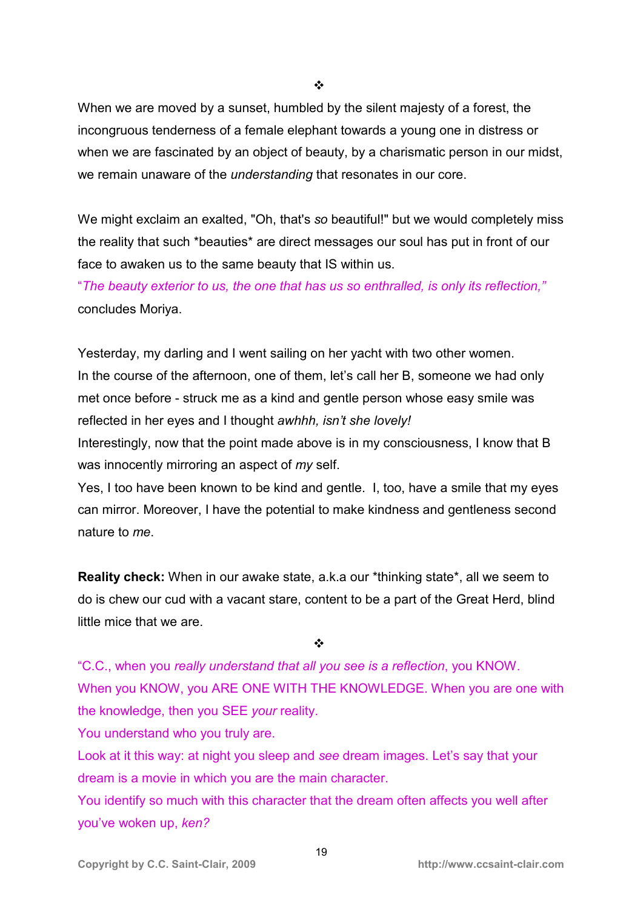❖

When we are moved by a sunset, humbled by the silent majesty of a forest, the incongruous tenderness of a female elephant towards a young one in distress or when we are fascinated by an object of beauty, by a charismatic person in our midst, we remain unaware of the *understanding* that resonates in our core.

We might exclaim an exalted, "Oh, that's *so* beautiful!" but we would completely miss the reality that such \*beauties\* are direct messages our soul has put in front of our face to awaken us to the same beauty that IS within us.

"*The beauty exterior to us, the one that has us so enthralled, is only its reflection,"*  concludes Moriya.

Yesterday, my darling and I went sailing on her yacht with two other women. In the course of the afternoon, one of them, let's call her B, someone we had only met once before - struck me as a kind and gentle person whose easy smile was reflected in her eyes and I thought *awhhh, isn't she lovely!* 

Interestingly, now that the point made above is in my consciousness, I know that B was innocently mirroring an aspect of *my* self.

Yes, I too have been known to be kind and gentle. I, too, have a smile that my eyes can mirror. Moreover, I have the potential to make kindness and gentleness second nature to *me*.

**Reality check:** When in our awake state, a.k.a our \*thinking state\*, all we seem to do is chew our cud with a vacant stare, content to be a part of the Great Herd, blind little mice that we are.

 $\frac{1}{2}$ 

"C.C., when you *really understand that all you see is a reflection*, you KNOW. When you KNOW, you ARE ONE WITH THE KNOWLEDGE. When you are one with the knowledge, then you SEE *your* reality.

You understand who you truly are.

Look at it this way: at night you sleep and *see* dream images. Let's say that your dream is a movie in which you are the main character.

You identify so much with this character that the dream often affects you well after you've woken up, *ken?*

19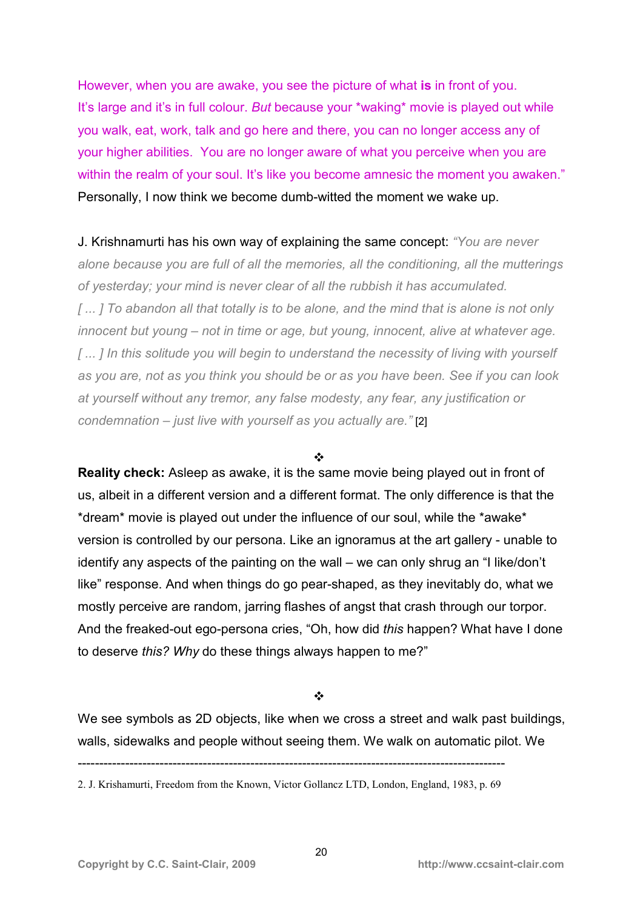However, when you are awake, you see the picture of what **is** in front of you. It's large and it's in full colour. *But* because your \*waking\* movie is played out while you walk, eat, work, talk and go here and there, you can no longer access any of your higher abilities. You are no longer aware of what you perceive when you are within the realm of your soul. It's like you become amnesic the moment you awaken." Personally, I now think we become dumb-witted the moment we wake up.

J. Krishnamurti has his own way of explaining the same concept: *"You are never alone because you are full of all the memories, all the conditioning, all the mutterings of yesterday; your mind is never clear of all the rubbish it has accumulated. [ ... ] To abandon all that totally is to be alone, and the mind that is alone is not only innocent but young – not in time or age, but young, innocent, alive at whatever age. [ ... ] In this solitude you will begin to understand the necessity of living with yourself as you are, not as you think you should be or as you have been. See if you can look at yourself without any tremor, any false modesty, any fear, any justification or condemnation – just live with yourself as you actually are."* [2]

❖

**Reality check:** Asleep as awake, it is the same movie being played out in front of us, albeit in a different version and a different format. The only difference is that the \*dream\* movie is played out under the influence of our soul, while the \*awake\* version is controlled by our persona. Like an ignoramus at the art gallery - unable to identify any aspects of the painting on the wall – we can only shrug an "I like/don't like" response. And when things do go pear-shaped, as they inevitably do, what we mostly perceive are random, jarring flashes of angst that crash through our torpor. And the freaked-out ego-persona cries, "Oh, how did *this* happen? What have I done to deserve *this? Why* do these things always happen to me?"

#### ❖

We see symbols as 2D objects, like when we cross a street and walk past buildings, walls, sidewalks and people without seeing them. We walk on automatic pilot. We

<sup>---------------------------------------------------------------------------------------------------</sup>  2. J. Krishamurti, Freedom from the Known, Victor Gollancz LTD, London, England, 1983, p. 69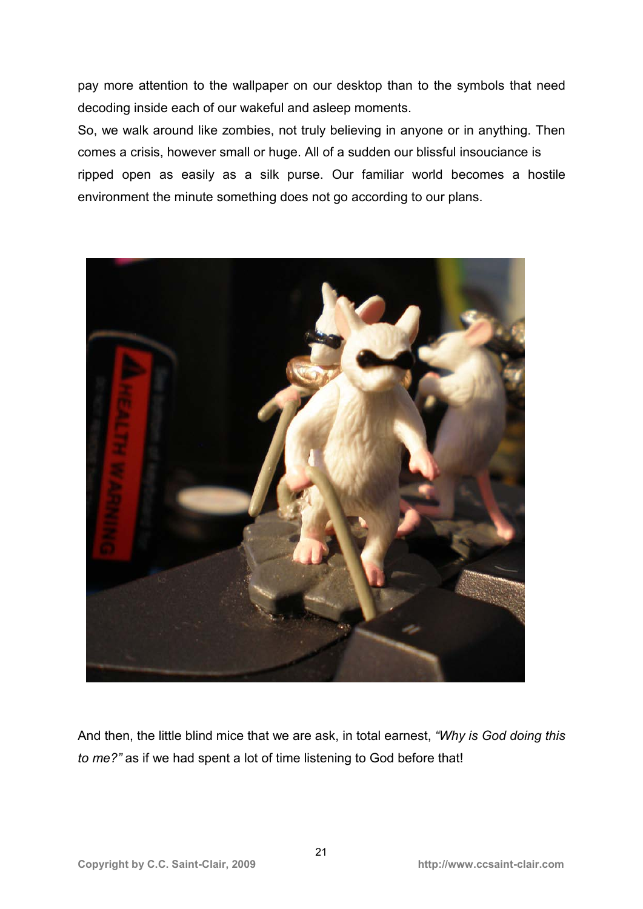pay more attention to the wallpaper on our desktop than to the symbols that need decoding inside each of our wakeful and asleep moments.

So, we walk around like zombies, not truly believing in anyone or in anything. Then comes a crisis, however small or huge. All of a sudden our blissful insouciance is ripped open as easily as a silk purse. Our familiar world becomes a hostile environment the minute something does not go according to our plans.



And then, the little blind mice that we are ask, in total earnest, *"Why is God doing this to me?"* as if we had spent a lot of time listening to God before that!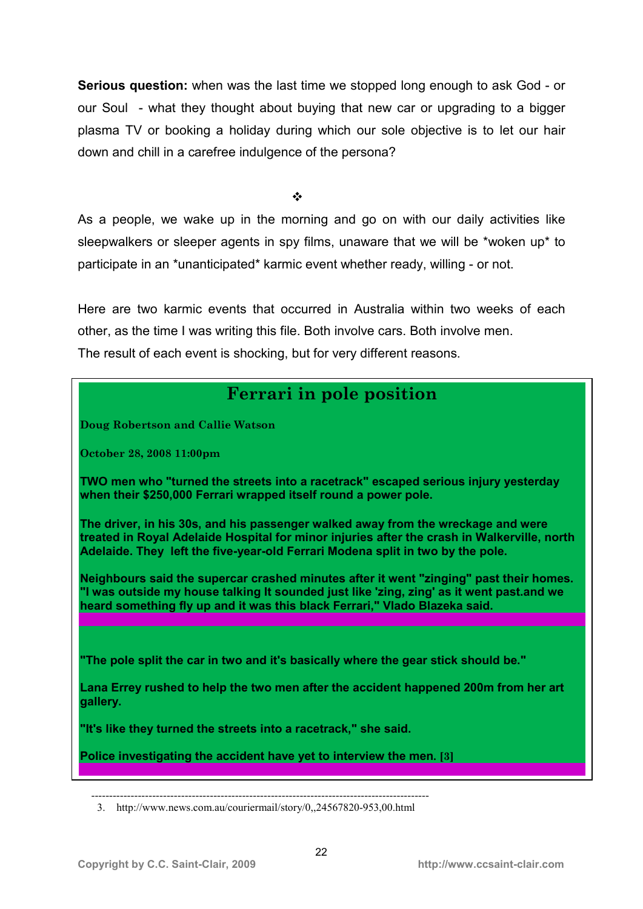**Serious question:** when was the last time we stopped long enough to ask God - or our Soul - what they thought about buying that new car or upgrading to a bigger plasma TV or booking a holiday during which our sole objective is to let our hair down and chill in a carefree indulgence of the persona?

 $\frac{1}{2}$ 

As a people, we wake up in the morning and go on with our daily activities like sleepwalkers or sleeper agents in spy films, unaware that we will be \*woken up\* to participate in an \*unanticipated\* karmic event whether ready, willing - or not.

Here are two karmic events that occurred in Australia within two weeks of each other, as the time I was writing this file. Both involve cars. Both involve men. The result of each event is shocking, but for very different reasons.

## **Ferrari in pole position**

**Doug Robertson and Callie Watson** 

**October 28, 2008 11:00pm** 

**TWO men who "turned the streets into a racetrack" escaped serious injury yesterday when their \$250,000 Ferrari wrapped itself round a power pole.** 

**The driver, in his 30s, and his passenger walked away from the wreckage and were treated in Royal Adelaide Hospital for minor injuries after the crash in Walkerville, north Adelaide. They left the five-year-old Ferrari Modena split in two by the pole.** 

**Neighbours said the supercar crashed minutes after it went "zinging" past their homes. "I was outside my house talking It sounded just like 'zing, zing' as it went past.and we heard something fly up and it was this black Ferrari," Vlado Blazeka said.** 

**"The pole split the car in two and it's basically where the gear stick should be."** 

**Lana Errey rushed to help the two men after the accident happened 200m from her art gallery.** 

**Here is the Ferrari** 

**"It's like they turned the streets into a racetrack," she said.** 

**Police investigating the accident have yet to interview the men. [3]** 

 <sup>----------------------------------------------------------------------------------------------</sup>  3. http://www.news.com.au/couriermail/story/0,,24567820-953,00.html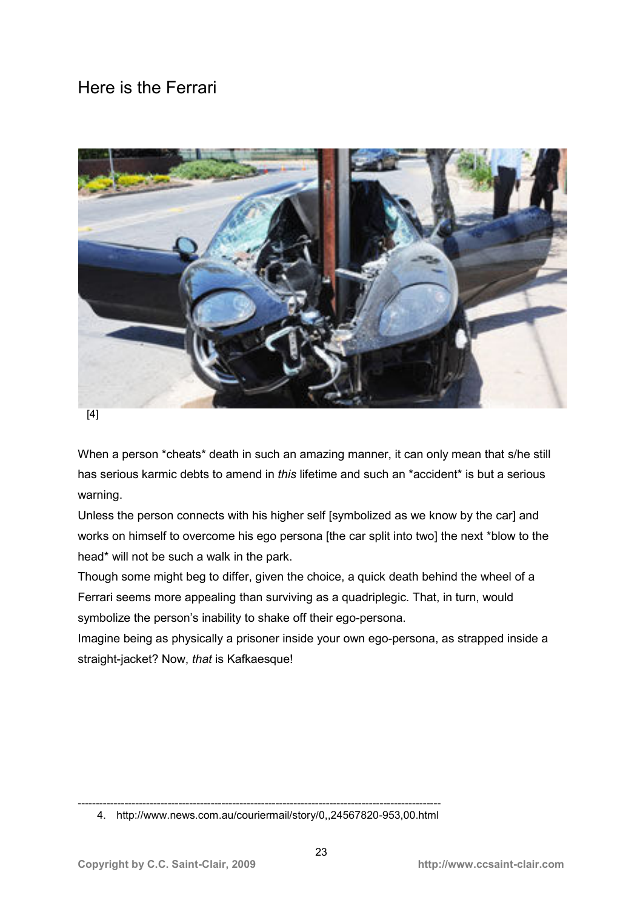## Here is the Ferrari



When a person \*cheats\* death in such an amazing manner, it can only mean that s/he still has serious karmic debts to amend in *this* lifetime and such an \*accident\* is but a serious warning.

Unless the person connects with his higher self [symbolized as we know by the car] and works on himself to overcome his ego persona [the car split into two] the next \*blow to the head\* will not be such a walk in the park.

Though some might beg to differ, given the choice, a quick death behind the wheel of a Ferrari seems more appealing than surviving as a quadriplegic. That, in turn, would symbolize the person's inability to shake off their ego-persona.

Imagine being as physically a prisoner inside your own ego-persona, as strapped inside a straight-jacket? Now, *that* is Kafkaesque!

<sup>-----------------------------------------------------------------------------------------------------</sup>  4. http://www.news.com.au/couriermail/story/0,,24567820-953,00.html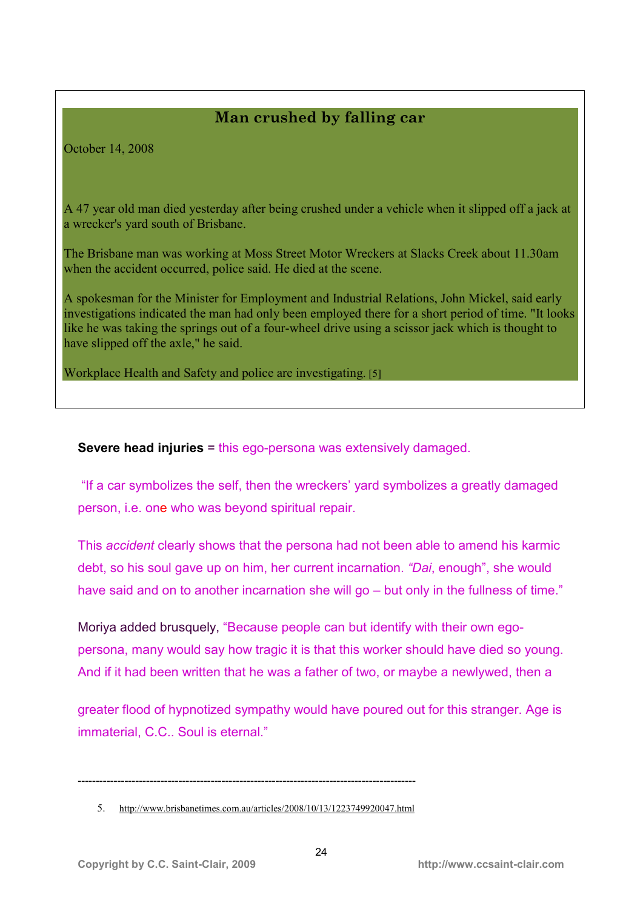### **Man crushed by falling car**

October 14, 2008

A 47 year old man died yesterday after being crushed under a vehicle when it slipped off a jack at a wrecker's yard south of Brisbane.

The Brisbane man was working at Moss Street Motor Wreckers at Slacks Creek about 11.30am when the accident occurred, police said. He died at the scene.

have slipped off the axle," he said. A spokesman for the Minister for Employment and Industrial Relations, John Mickel, said early investigations indicated the man had only been employed there for a short period of time. "It looks like he was taking the springs out of a four-wheel drive using a scissor jack which is thought to

Workplace Health and Safety and police are investigating. [5]

**Severe head injuries** = this ego-persona was extensively damaged.

"If a car symbolizes the self, then the wreckers' yard symbolizes a greatly damaged person, i.e. one who was beyond spiritual repair.

This *accident* clearly shows that the persona had not been able to amend his karmic debt, so his soul gave up on him, her current incarnation. *"Dai*, enough", she would have said and on to another incarnation she will go – but only in the fullness of time."

Moriya added brusquely, "Because people can but identify with their own egopersona, many would say how tragic it is that this worker should have died so young. And if it had been written that he was a father of two, or maybe a newlywed, then a

greater flood of hypnotized sympathy would have poured out for this stranger. Age is immaterial, C.C.. Soul is eternal."

----------------------------------------------------------------------------------------------

<sup>5.</sup> http://www.brisbanetimes.com.au/articles/2008/10/13/1223749920047.html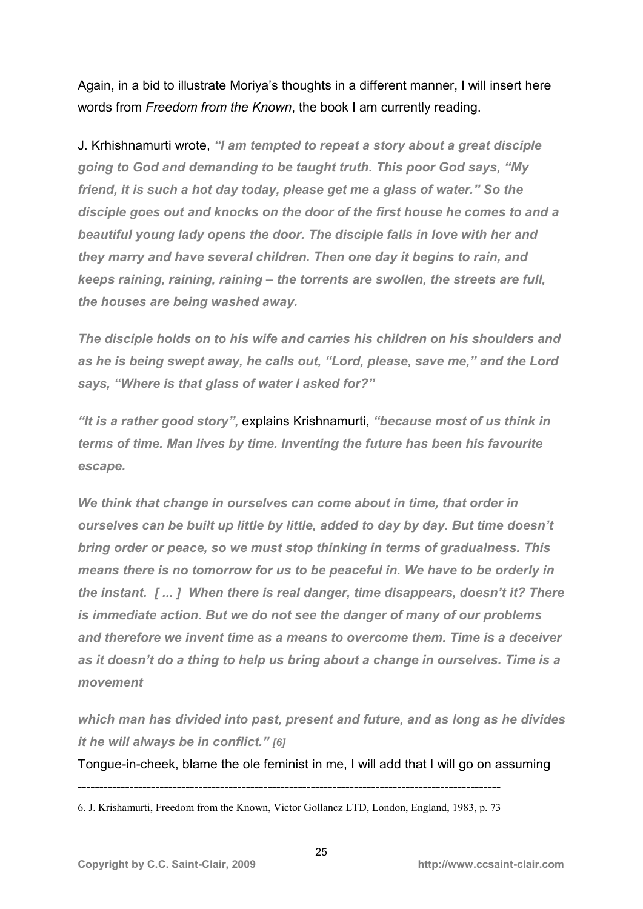Again, in a bid to illustrate Moriya's thoughts in a different manner, I will insert here words from *Freedom from the Known*, the book I am currently reading.

J. Krhishnamurti wrote, *"I am tempted to repeat a story about a great disciple going to God and demanding to be taught truth. This poor God says, "My friend, it is such a hot day today, please get me a glass of water." So the disciple goes out and knocks on the door of the first house he comes to and a beautiful young lady opens the door. The disciple falls in love with her and they marry and have several children. Then one day it begins to rain, and keeps raining, raining, raining – the torrents are swollen, the streets are full, the houses are being washed away.* 

*The disciple holds on to his wife and carries his children on his shoulders and as he is being swept away, he calls out, "Lord, please, save me," and the Lord says, "Where is that glass of water I asked for?"* 

*"It is a rather good story",* explains Krishnamurti, *"because most of us think in terms of time. Man lives by time. Inventing the future has been his favourite escape.* 

*We think that change in ourselves can come about in time, that order in ourselves can be built up little by little, added to day by day. But time doesn't bring order or peace, so we must stop thinking in terms of gradualness. This means there is no tomorrow for us to be peaceful in. We have to be orderly in the instant. [ ... ] When there is real danger, time disappears, doesn't it? There is immediate action. But we do not see the danger of many of our problems and therefore we invent time as a means to overcome them. Time is a deceiver as it doesn't do a thing to help us bring about a change in ourselves. Time is a movement* 

*which man has divided into past, present and future, and as long as he divides it he will always be in conflict." [6]*

Tongue-in-cheek, blame the ole feminist in me, I will add that I will go on assuming

<sup>--------------------------------------------------------------------------------------------------</sup>  6. J. Krishamurti, Freedom from the Known, Victor Gollancz LTD, London, England, 1983, p. 73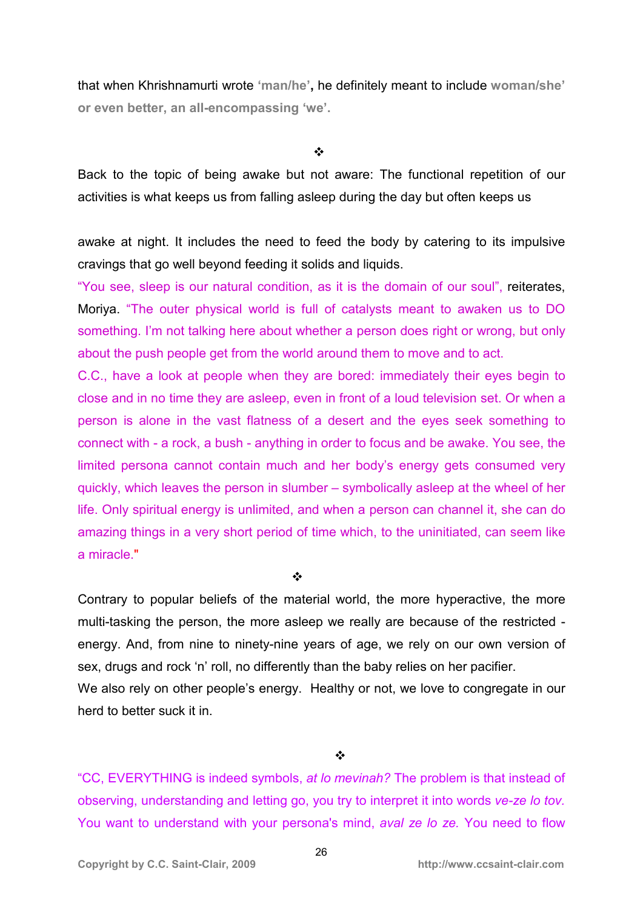that when Khrishnamurti wrote **'man/he',** he definitely meant to include **woman/she' or even better, an all-encompassing 'we'.** 

 $\frac{1}{2}$ 

Back to the topic of being awake but not aware: The functional repetition of our activities is what keeps us from falling asleep during the day but often keeps us

awake at night. It includes the need to feed the body by catering to its impulsive cravings that go well beyond feeding it solids and liquids.

"You see, sleep is our natural condition, as it is the domain of our soul", reiterates, Moriya. "The outer physical world is full of catalysts meant to awaken us to DO something. I'm not talking here about whether a person does right or wrong, but only about the push people get from the world around them to move and to act.

C.C., have a look at people when they are bored: immediately their eyes begin to close and in no time they are asleep, even in front of a loud television set. Or when a person is alone in the vast flatness of a desert and the eyes seek something to connect with - a rock, a bush - anything in order to focus and be awake. You see, the limited persona cannot contain much and her body's energy gets consumed very quickly, which leaves the person in slumber – symbolically asleep at the wheel of her life. Only spiritual energy is unlimited, and when a person can channel it, she can do amazing things in a very short period of time which, to the uninitiated, can seem like a miracle."

 $\frac{1}{2}$ 

Contrary to popular beliefs of the material world, the more hyperactive, the more multi-tasking the person, the more asleep we really are because of the restricted energy. And, from nine to ninety-nine years of age, we rely on our own version of sex, drugs and rock 'n' roll, no differently than the baby relies on her pacifier. We also rely on other people's energy. Healthy or not, we love to congregate in our herd to better suck it in.

 $\frac{1}{2}$ 

"CC, EVERYTHING is indeed symbols, *at lo mevinah?* The problem is that instead of observing, understanding and letting go, you try to interpret it into words *ve-ze lo tov.* You want to understand with your persona's mind, *aval ze lo ze.* You need to flow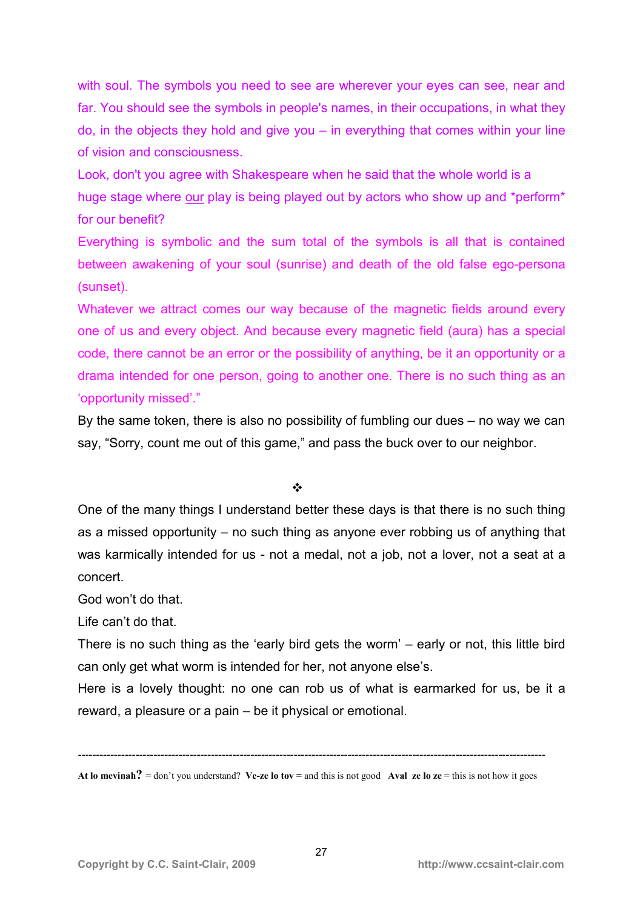with soul. The symbols you need to see are wherever your eyes can see, near and far. You should see the symbols in people's names, in their occupations, in what they  $\alpha$ , in the objects they hold and give you – in everything that comes within your line of vision and consciousness.

Look, don't you agree with Shakespeare when he said that the whole world is a huge stage where our play is being played out by actors who show up and \*perform\* for our benefit?

Everything is symbolic and the sum total of the symbols is all that is contained between awakening of your soul (sunrise) and death of the old false ego-persona (sunset).

Whatever we attract comes our way because of the magnetic fields around every one of us and every object. And because every magnetic field (aura) has a special code, there cannot be an error or the possibility of anything, be it an opportunity or a drama intended for one person, going to another one. There is no such thing as an 'opportunity missed'."

By the same token, there is also no possibility of fumbling our dues – no way we can say, "Sorry, count me out of this game," and pass the buck over to our neighbor.

#### $\mathbf{A}$

One of the many things I understand better these days is that there is no such thing as a missed opportunity – no such thing as anyone ever robbing us of anything that was karmically intended for us - not a medal, not a job, not a lover, not a seat at a concert.

God won't do that.

Life can't do that.

There is no such thing as the 'early bird gets the worm' – early or not, this little bird can only get what worm is intended for her, not anyone else's.

Here is a lovely thought: no one can rob us of what is earmarked for us, be it a reward, a pleasure or a pain – be it physical or emotional.

*----------------------------------------------------------------------------------------------------------------------------------* 

**At lo mevinah**? = don't you understand? Ve-ze lo tov = and this is not good **Aval ze lo ze** = this is not how it goes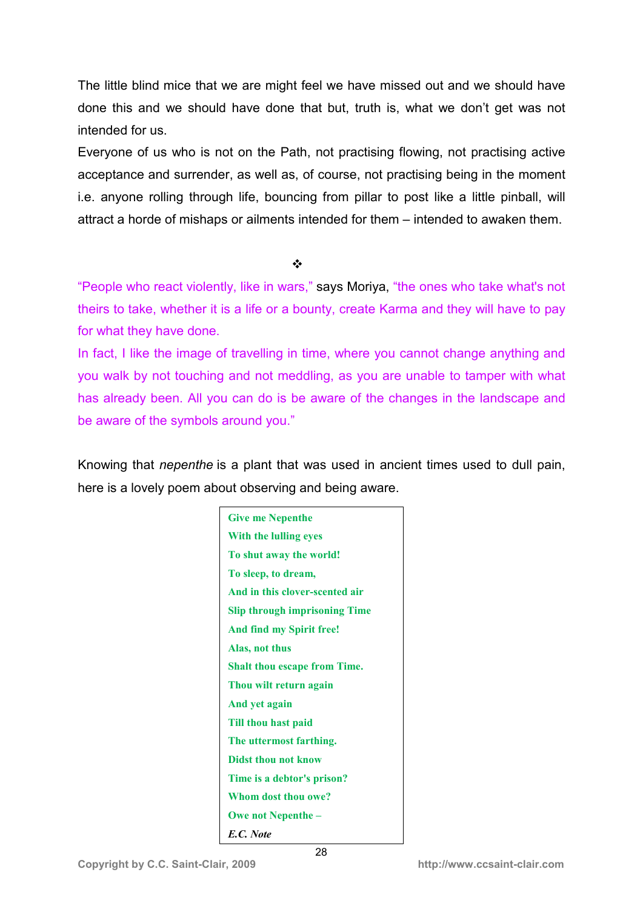The little blind mice that we are might feel we have missed out and we should have done this and we should have done that but, truth is, what we don't get was not intended for us.

Everyone of us who is not on the Path, not practising flowing, not practising active acceptance and surrender, as well as, of course, not practising being in the moment i.e. anyone rolling through life, bouncing from pillar to post like a little pinball, will attract a horde of mishaps or ailments intended for them – intended to awaken them.

 $\frac{1}{2}$ 

"People who react violently, like in wars," says Moriya, "the ones who take what's not theirs to take, whether it is a life or a bounty, create Karma and they will have to pay for what they have done.

In fact, I like the image of travelling in time, where you cannot change anything and you walk by not touching and not meddling, as you are unable to tamper with what has already been. All you can do is be aware of the changes in the landscape and be aware of the symbols around you."

Knowing that *nepenthe* is a plant that was used in ancient times used to dull pain, here is a lovely poem about observing and being aware.

| <b>Give me Nepenthe</b>              |
|--------------------------------------|
| With the lulling eyes                |
| To shut away the world!              |
| To sleep, to dream,                  |
| And in this clover-scented air       |
| <b>Slip through imprisoning Time</b> |
| And find my Spirit free!             |
| Alas, not thus                       |
| <b>Shalt thou escape from Time.</b>  |
| Thou wilt return again               |
| And yet again                        |
| Till thou hast paid                  |
| The uttermost farthing.              |
| <b>Didst thou not know</b>           |
| Time is a debtor's prison?           |
| Whom dost thou owe?                  |
| <b>Owe not Nepenthe –</b>            |
| E.C. Note                            |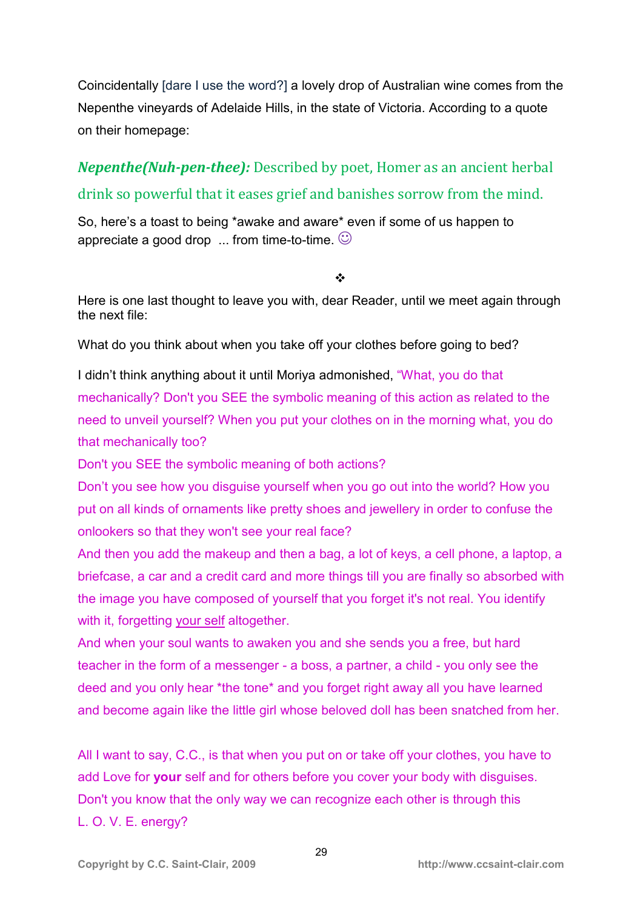Coincidentally [dare I use the word?] a lovely drop of Australian wine comes from the Nepenthe vineyards of Adelaide Hills, in the state of Victoria. According to a quote on their homepage:

*Nepenthe(Nuh-pen-thee):* Described by poet, Homer as an ancient herbal drink so powerful that it eases grief and banishes sorrow from the mind.

So, here's a toast to being \*awake and aware\* even if some of us happen to appreciate a good drop  $\ldots$  from time-to-time.  $\odot$ 

 $\frac{1}{2}$ 

Here is one last thought to leave you with, dear Reader, until we meet again through the next file:

What do you think about when you take off your clothes before going to bed?

I didn't think anything about it until Moriya admonished, "What, you do that mechanically? Don't you SEE the symbolic meaning of this action as related to the need to unveil yourself? When you put your clothes on in the morning what, you do that mechanically too?

Don't you SEE the symbolic meaning of both actions?

Don't you see how you disguise yourself when you go out into the world? How you put on all kinds of ornaments like pretty shoes and jewellery in order to confuse the onlookers so that they won't see your real face?

And then you add the makeup and then a bag, a lot of keys, a cell phone, a laptop, a briefcase, a car and a credit card and more things till you are finally so absorbed with the image you have composed of yourself that you forget it's not real. You identify with it, forgetting your self altogether.

And when your soul wants to awaken you and she sends you a free, but hard teacher in the form of a messenger - a boss, a partner, a child - you only see the deed and you only hear \*the tone\* and you forget right away all you have learned and become again like the little girl whose beloved doll has been snatched from her.

All I want to say, C.C., is that when you put on or take off your clothes, you have to add Love for **your** self and for others before you cover your body with disguises. Don't you know that the only way we can recognize each other is through this L. O. V. E. energy?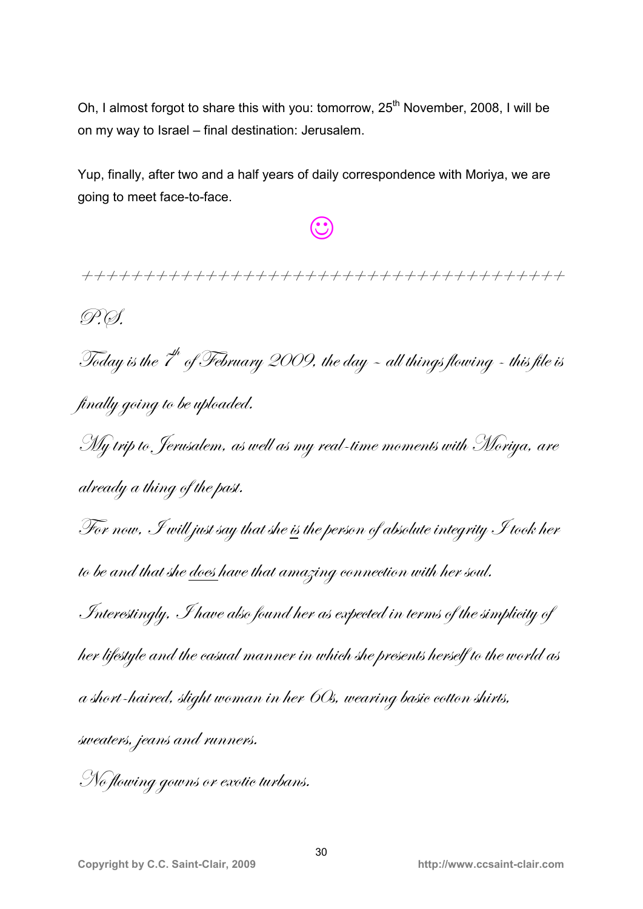Oh, I almost forgot to share this with you: tomorrow, 25<sup>th</sup> November, 2008, I will be on my way to Israel – final destination: Jerusalem.

Yup, finally, after two and a half years of daily correspondence with Moriya, we are going to meet face-to-face.

☺

# >>>>>>>>>>>>>>>>>>>>>>>>>>>>>>>>>>>>>>>

P.Ø.

Today is the  $\overline{t}^h$  of February 2009, the day - all things flowing - this file is finally going to be uploaded.

 $\hat{M}$ y trip to, Jerusalem, as well as my real-time moments with Moriya, are  $d$ *ready*  $a$  thing of the past.

For now, I will just say that she is the person of absolute integrity I took her to be and that she does have that amazing connection with her soul.

Interestingly, I have also found her as expected in terms of the simplicity of her lifestyle and the casual manner in which she presents herself to the world as  $t$  a short-haired, slight woman in her  $\delta$ Os, wearing basic cotton shirts, sweaters, jeans and runners.

No flowing gowns or exotic turbans.